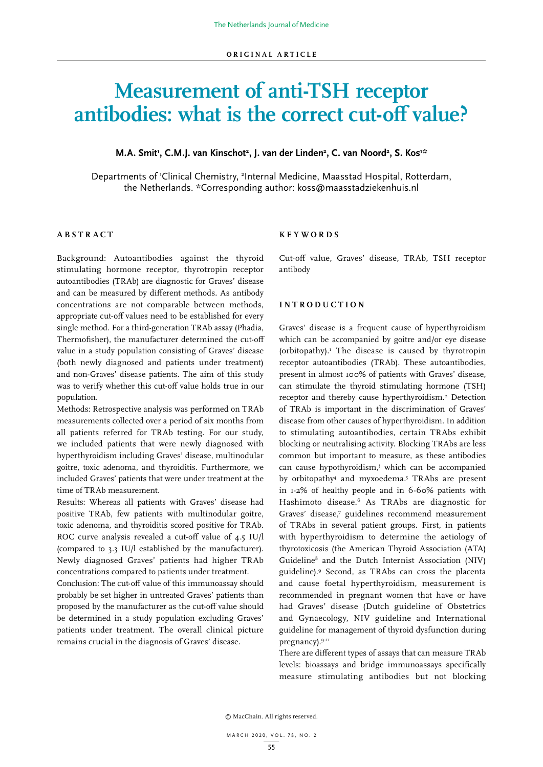# **Measurement of anti-TSH receptor antibodies: what is the correct cut-off value?**

## **M.A. Smit<sup>1</sup>, C.M.J. van Kinschot<sup>2</sup>, J. van der Linden<sup>2</sup>, C. van Noord<sup>2</sup>, S. Kos<sup>1:</sup>\***

Departments of 'Clinical Chemistry, <sup>2</sup>Internal Medicine, Maasstad Hospital, Rotterdam, the Netherlands. \*Corresponding author: koss@maasstadziekenhuis.nl

## **ABSTRACT**

Background: Autoantibodies against the thyroid stimulating hormone receptor, thyrotropin receptor autoantibodies (TRAb) are diagnostic for Graves' disease and can be measured by different methods. As antibody concentrations are not comparable between methods, appropriate cut-off values need to be established for every single method. For a third-generation TRAb assay (Phadia, Thermofisher), the manufacturer determined the cut-off value in a study population consisting of Graves' disease (both newly diagnosed and patients under treatment) and non-Graves' disease patients. The aim of this study was to verify whether this cut-off value holds true in our population.

Methods: Retrospective analysis was performed on TRAb measurements collected over a period of six months from all patients referred for TRAb testing. For our study, we included patients that were newly diagnosed with hyperthyroidism including Graves' disease, multinodular goitre, toxic adenoma, and thyroiditis. Furthermore, we included Graves' patients that were under treatment at the time of TRAb measurement.

Results: Whereas all patients with Graves' disease had positive TRAb, few patients with multinodular goitre, toxic adenoma, and thyroiditis scored positive for TRAb. ROC curve analysis revealed a cut-off value of 4.5 IU/l (compared to 3.3 IU/l established by the manufacturer). Newly diagnosed Graves' patients had higher TRAb concentrations compared to patients under treatment.

Conclusion: The cut-off value of this immunoassay should probably be set higher in untreated Graves' patients than proposed by the manufacturer as the cut-off value should be determined in a study population excluding Graves' patients under treatment. The overall clinical picture remains crucial in the diagnosis of Graves' disease.

#### **KEYWORDS**

Cut-off value, Graves' disease, TRAb, TSH receptor antibody

# **INTRODUCTION**

Graves' disease is a frequent cause of hyperthyroidism which can be accompanied by goitre and/or eye disease (orbitopathy).1 The disease is caused by thyrotropin receptor autoantibodies (TRAb). These autoantibodies, present in almost 100% of patients with Graves' disease, can stimulate the thyroid stimulating hormone (TSH) receptor and thereby cause hyperthyroidism.<sup>2</sup> Detection of TRAb is important in the discrimination of Graves' disease from other causes of hyperthyroidism. In addition to stimulating autoantibodies, certain TRAbs exhibit blocking or neutralising activity. Blocking TRAbs are less common but important to measure, as these antibodies can cause hypothyroidism,3 which can be accompanied by orbitopathy4 and myxoedema.5 TRAbs are present in 1-2% of healthy people and in 6-60% patients with Hashimoto disease.6 As TRAbs are diagnostic for Graves' disease,7 guidelines recommend measurement of TRAbs in several patient groups. First, in patients with hyperthyroidism to determine the aetiology of thyrotoxicosis (the American Thyroid Association (ATA) Guideline<sup>8</sup> and the Dutch Internist Association (NIV) guideline).9 Second, as TRAbs can cross the placenta and cause foetal hyperthyroidism, measurement is recommended in pregnant women that have or have had Graves' disease (Dutch guideline of Obstetrics and Gynaecology, NIV guideline and International guideline for management of thyroid dysfunction during pregnancy).<sup>9-11</sup>

There are different types of assays that can measure TRAb levels: bioassays and bridge immunoassays specifically measure stimulating antibodies but not blocking

© MacChain. All rights reserved.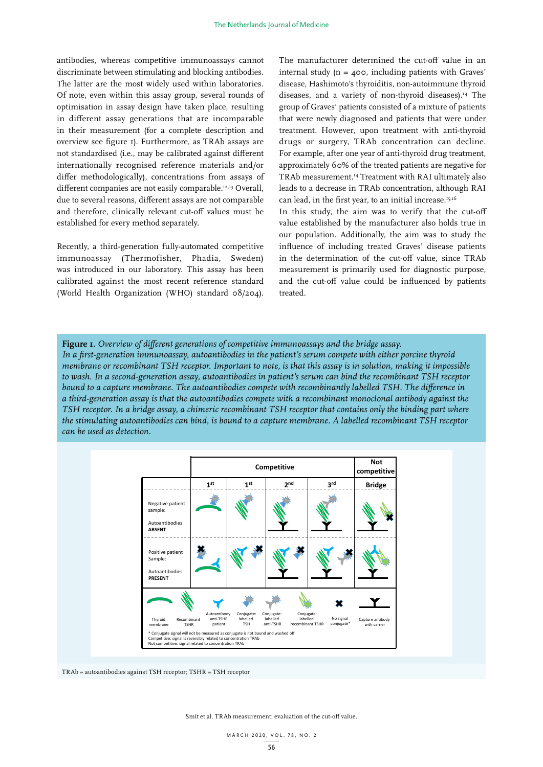antibodies, whereas competitive immunoassays cannot discriminate between stimulating and blocking antibodies. The latter are the most widely used within laboratories. Of note, even within this assay group, several rounds of optimisation in assay design have taken place, resulting in different assay generations that are incomparable in their measurement (for a complete description and overview see figure 1). Furthermore, as TRAb assays are not standardised (i.e., may be calibrated against different internationally recognised reference materials and/or differ methodologically), concentrations from assays of different companies are not easily comparable.<sup>12,13</sup> Overall, due to several reasons, different assays are not comparable and therefore, clinically relevant cut-off values must be established for every method separately.

Recently, a third-generation fully-automated competitive immunoassay (Thermofisher, Phadia, Sweden) was introduced in our laboratory. This assay has been calibrated against the most recent reference standard (World Health Organization (WHO) standard 08/204). The manufacturer determined the cut-off value in an internal study  $(n = 400,$  including patients with Graves' disease, Hashimoto's thyroiditis, non-autoimmune thyroid diseases, and a variety of non-thyroid diseases).<sup>14</sup> The group of Graves' patients consisted of a mixture of patients that were newly diagnosed and patients that were under treatment. However, upon treatment with anti-thyroid drugs or surgery, TRAb concentration can decline. For example, after one year of anti-thyroid drug treatment, approximately 60% of the treated patients are negative for TRAb measurement.14 Treatment with RAI ultimately also leads to a decrease in TRAb concentration, although RAI can lead, in the first year, to an initial increase.<sup>15,16</sup>

In this study, the aim was to verify that the cut-off value established by the manufacturer also holds true in our population. Additionally, the aim was to study the influence of including treated Graves' disease patients in the determination of the cut-off value, since TRAb measurement is primarily used for diagnostic purpose, and the cut-off value could be influenced by patients treated.

**Figure 1.** *Overview of different generations of competitive immunoassays and the bridge assay. In a first-generation immunoassay, autoantibodies in the patient's serum compete with either porcine thyroid membrane or recombinant TSH receptor. Important to note, is that this assay is in solution, making it impossible to wash. In a second-generation assay, autoantibodies in patient's serum can bind the recombinant TSH receptor bound to a capture membrane. The autoantibodies compete with recombinantly labelled TSH. The difference in a third-generation assay is that the autoantibodies compete with a recombinant monoclonal antibody against the TSH receptor. In a bridge assay, a chimeric recombinant TSH receptor that contains only the binding part where the stimulating autoantibodies can bind, is bound to a capture membrane. A labelled recombinant TSH receptor can be used as detection.*



TRAb = autoantibodies against TSH receptor; TSHR = TSH receptor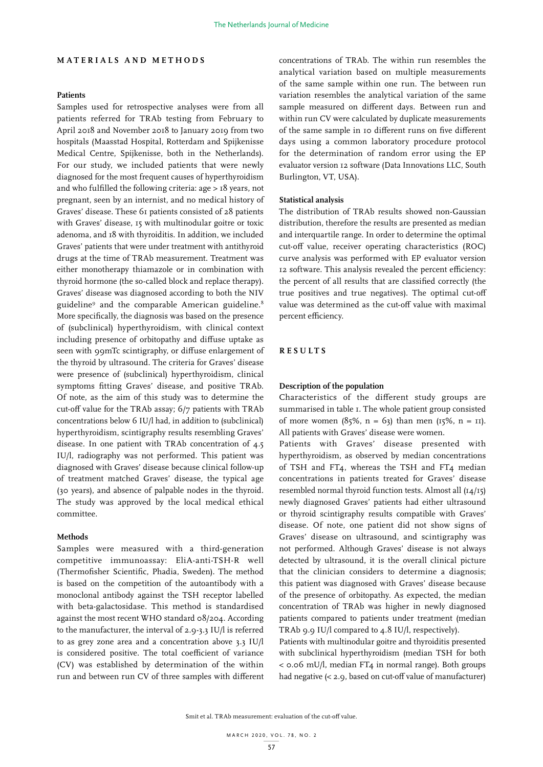## **MATERIALS AND METHODS**

# **Patients**

Samples used for retrospective analyses were from all patients referred for TRAb testing from February to April 2018 and November 2018 to January 2019 from two hospitals (Maasstad Hospital, Rotterdam and Spijkenisse Medical Centre, Spijkenisse, both in the Netherlands). For our study, we included patients that were newly diagnosed for the most frequent causes of hyperthyroidism and who fulfilled the following criteria: age > 18 years, not pregnant, seen by an internist, and no medical history of Graves' disease. These 61 patients consisted of 28 patients with Graves' disease, 15 with multinodular goitre or toxic adenoma, and 18 with thyroiditis. In addition, we included Graves' patients that were under treatment with antithyroid drugs at the time of TRAb measurement. Treatment was either monotherapy thiamazole or in combination with thyroid hormone (the so-called block and replace therapy). Graves' disease was diagnosed according to both the NIV guideline<sup>9</sup> and the comparable American guideline.<sup>8</sup> More specifically, the diagnosis was based on the presence of (subclinical) hyperthyroidism, with clinical context including presence of orbitopathy and diffuse uptake as seen with 99mTc scintigraphy, or diffuse enlargement of the thyroid by ultrasound. The criteria for Graves' disease were presence of (subclinical) hyperthyroidism, clinical symptoms fitting Graves' disease, and positive TRAb. Of note, as the aim of this study was to determine the cut-off value for the TRAb assay; 6/7 patients with TRAb concentrations below 6 IU/l had, in addition to (subclinical) hyperthyroidism, scintigraphy results resembling Graves' disease. In one patient with TRAb concentration of 4.5 IU/l, radiography was not performed. This patient was diagnosed with Graves' disease because clinical follow-up of treatment matched Graves' disease, the typical age (30 years), and absence of palpable nodes in the thyroid. The study was approved by the local medical ethical committee.

#### **Methods**

Samples were measured with a third-generation competitive immunoassay: EliA-anti-TSH-R well (Thermofisher Scientific, Phadia, Sweden). The method is based on the competition of the autoantibody with a monoclonal antibody against the TSH receptor labelled with beta-galactosidase. This method is standardised against the most recent WHO standard 08/204. According to the manufacturer, the interval of 2.9-3.3 IU/l is referred to as grey zone area and a concentration above 3.3 IU/l is considered positive. The total coefficient of variance (CV) was established by determination of the within run and between run CV of three samples with different

concentrations of TRAb. The within run resembles the analytical variation based on multiple measurements of the same sample within one run. The between run variation resembles the analytical variation of the same sample measured on different days. Between run and within run CV were calculated by duplicate measurements of the same sample in 10 different runs on five different days using a common laboratory procedure protocol for the determination of random error using the EP evaluator version 12 software (Data Innovations LLC, South Burlington, VT, USA).

## **Statistical analysis**

The distribution of TRAb results showed non-Gaussian distribution, therefore the results are presented as median and interquartile range. In order to determine the optimal cut-off value, receiver operating characteristics (ROC) curve analysis was performed with EP evaluator version 12 software. This analysis revealed the percent efficiency: the percent of all results that are classified correctly (the true positives and true negatives). The optimal cut-off value was determined as the cut-off value with maximal percent efficiency.

## **RESULTS**

#### **Description of the population**

Characteristics of the different study groups are summarised in table 1. The whole patient group consisted of more women  $(85\%, n = 63)$  than men  $(15\%, n = 11)$ . All patients with Graves' disease were women.

Patients with Graves' disease presented with hyperthyroidism, as observed by median concentrations of TSH and FT4, whereas the TSH and FT4 median concentrations in patients treated for Graves' disease resembled normal thyroid function tests. Almost all (14/15) newly diagnosed Graves' patients had either ultrasound or thyroid scintigraphy results compatible with Graves' disease. Of note, one patient did not show signs of Graves' disease on ultrasound, and scintigraphy was not performed. Although Graves' disease is not always detected by ultrasound, it is the overall clinical picture that the clinician considers to determine a diagnosis; this patient was diagnosed with Graves' disease because of the presence of orbitopathy. As expected, the median concentration of TRAb was higher in newly diagnosed patients compared to patients under treatment (median TRAb 9.9 IU/l compared to 4.8 IU/l, respectively).

Patients with multinodular goitre and thyroiditis presented with subclinical hyperthyroidism (median TSH for both  $<$  0.06 mU/l, median FT<sub>4</sub> in normal range). Both groups had negative (< 2.9, based on cut-off value of manufacturer)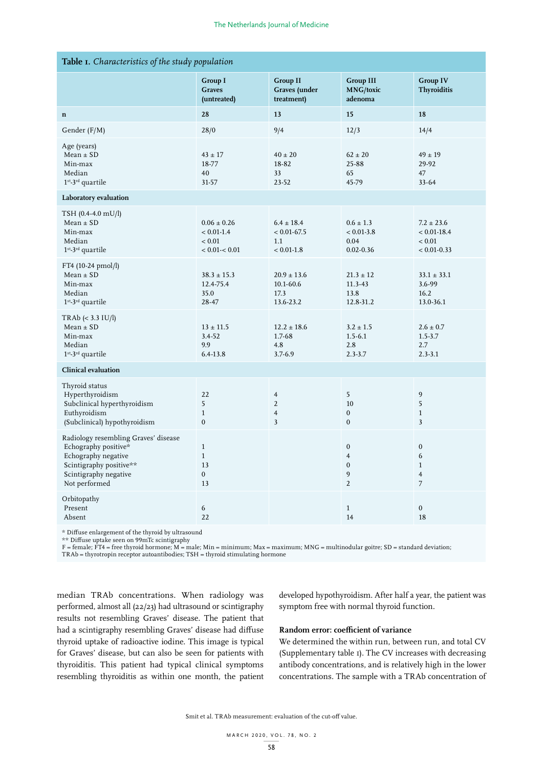| Table I. Characteristics of the study population                                                                                                         |                                                              |                                                                           |                                                                           |                                                                           |  |
|----------------------------------------------------------------------------------------------------------------------------------------------------------|--------------------------------------------------------------|---------------------------------------------------------------------------|---------------------------------------------------------------------------|---------------------------------------------------------------------------|--|
|                                                                                                                                                          | Group I<br><b>Graves</b><br>(untreated)                      | <b>Group II</b><br>Graves (under<br>treatment)                            | Group III<br><b>MNG/toxic</b><br>adenoma                                  | <b>Group IV</b><br>Thyroiditis                                            |  |
| $\mathbf n$                                                                                                                                              | 28                                                           | 13                                                                        | 15                                                                        | ${\bf 18}$                                                                |  |
| Gender (F/M)                                                                                                                                             | 28/0                                                         | 9/4                                                                       | 12/3                                                                      | 14/4                                                                      |  |
| Age (years)<br>$Mean \pm SD$<br>Min-max<br>Median<br>$1st$ -3 <sup>rd</sup> quartile                                                                     | $43 \pm 17$<br>18-77<br>40<br>31-57                          | $40 \pm 20$<br>18-82<br>33<br>23-52                                       | $62 \pm 20$<br>25-88<br>65<br>45-79                                       | $49 \pm 19$<br>29-92<br>47<br>$33 - 64$                                   |  |
| Laboratory evaluation                                                                                                                                    |                                                              |                                                                           |                                                                           |                                                                           |  |
| TSH (0.4-4.0 mU/l)<br>$Mean \pm SD$<br>Min-max<br>Median<br>$1^{\rm st}\text{-}3^{\rm rd}$ quartile                                                      | $0.06 \pm 0.26$<br>$< 0.01 - 1.4$<br>< 0.01<br>< 0.01 < 0.01 | $6.4 \pm 18.4$<br>$< 0.01 - 67.5$<br>1.1<br>$< 0.01\mbox{-}1.8$           | $0.6 \pm 1.3$<br>$< 0.01 - 3.8$<br>0.04<br>$0.02 - 0.36$                  | $7.2 \pm 23.6$<br>$< 0.01 - 18.4$<br>< 0.01<br>$< 0.01 - 0.33$            |  |
| FT4 (10-24 pmol/l)<br>$Mean \pm SD$<br>Min-max<br>Median<br>$1^{\rm st}\text{-}3^{\rm rd}$ quartile                                                      | $38.3 \pm 15.3$<br>12.4-75.4<br>35.0<br>28-47                | $20.9 \pm 13.6$<br>10.1-60.6<br>17.3<br>13.6-23.2                         | $21.3 \pm 12$<br>$11.3 - 43$<br>13.8<br>12.8-31.2                         | $33.1 \pm 33.1$<br>$3.6 - 99$<br>16.2<br>13.0-36.1                        |  |
| $TRAb \leq 3.3 \text{ [U/l]}$<br>$Mean \pm SD$<br>Min-max<br>Median<br>$1st - 3rd$ quartile                                                              | $13 \pm 11.5$<br>3.4-52<br>9.9<br>6.4-13.8                   | $12.2 \pm 18.6$<br>1.7-68<br>4.8<br>$3.7 - 6.9$                           | $3.2 \pm 1.5$<br>$1.5 - 6.1$<br>2.8<br>$2.3 - 3.7$                        | $2.6 \pm 0.7$<br>$1.5 - 3.7$<br>2.7<br>$2.3 - 3.1$                        |  |
| <b>Clinical evaluation</b>                                                                                                                               |                                                              |                                                                           |                                                                           |                                                                           |  |
| Thyroid status<br>Hyperthyroidism<br>Subclinical hyperthyroidism<br>Euthyroidism<br>(Subclinical) hypothyroidism                                         | 22<br>5<br>$\mathbf{1}$<br>$\boldsymbol{0}$                  | $\overline{4}$<br>$\sqrt{2}$<br>$\overline{4}$<br>$\overline{\mathbf{3}}$ | 5<br>$10\,$<br>$\boldsymbol{0}$<br>$\boldsymbol{0}$                       | 9<br>5<br>$\,1$<br>$\overline{\mathbf{3}}$                                |  |
| Radiology resembling Graves' disease<br>Echography positive*<br>Echography negative<br>Scintigraphy positive**<br>Scintigraphy negative<br>Not performed | $\mathbf{1}$<br>$\mathbf{1}$<br>13<br>$\mathbf{0}$<br>13     |                                                                           | $\boldsymbol{0}$<br>$\overline{4}$<br>$\boldsymbol{0}$<br>9<br>$\sqrt{2}$ | $\boldsymbol{0}$<br>6<br>$\mathbf{1}$<br>$\overline{4}$<br>$\overline{7}$ |  |
| Orbitopathy<br>Present<br>Absent                                                                                                                         | 6<br>22                                                      |                                                                           | $\mathbf{1}$<br>14                                                        | $\mathbf 0$<br>18                                                         |  |

\* Diffuse enlargement of the thyroid by ultrasound

\*\* Diffuse uptake seen on 99mTc scintigraphy

F = female; FT4 = free thyroid hormone; M = male; Min = minimum; Max = maximum; MNG = multinodular goitre; SD = standard deviation;

TRAb = thyrotropin receptor autoantibodies; TSH = thyroid stimulating hormone

median TRAb concentrations. When radiology was performed, almost all (22/23) had ultrasound or scintigraphy results not resembling Graves' disease. The patient that had a scintigraphy resembling Graves' disease had diffuse thyroid uptake of radioactive iodine. This image is typical for Graves' disease, but can also be seen for patients with thyroiditis. This patient had typical clinical symptoms resembling thyroiditis as within one month, the patient developed hypothyroidism. After half a year, the patient was symptom free with normal thyroid function.

## **Random error: coefficient of variance**

We determined the within run, between run, and total CV (Supplementary table 1). The CV increases with decreasing antibody concentrations, and is relatively high in the lower concentrations. The sample with a TRAb concentration of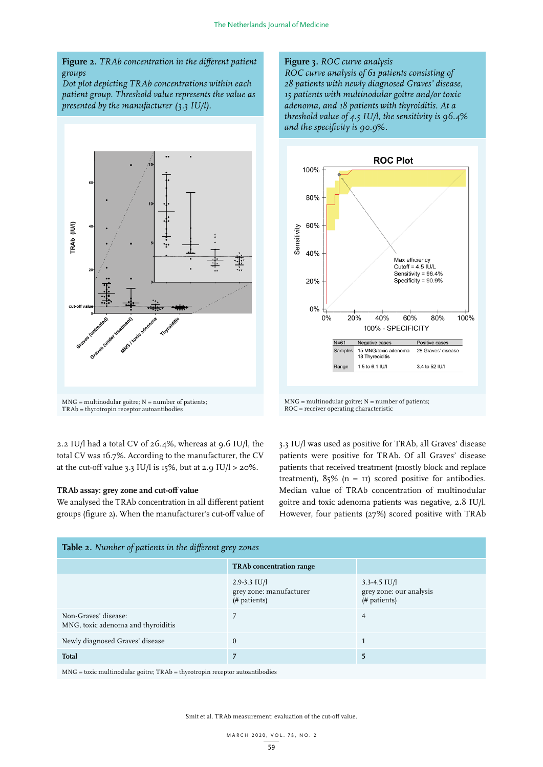# **Figure 2.** *TRAb concentration in the different patient groups*

*Dot plot depicting TRAb concentrations within each patient group. Threshold value represents the value as presented by the manufacturer (3.3 IU/l).*



2.2 IU/l had a total CV of 26.4%, whereas at 9.6 IU/l, the total CV was 16.7%. According to the manufacturer, the CV at the cut-off value 3.3 IU/l is 15%, but at 2.9 IU/l > 20%.

#### **TRAb assay: grey zone and cut-off value**

We analysed the TRAb concentration in all different patient groups (figure 2). When the manufacturer's cut-off value of

#### **Figure 3.** *ROC curve analysis*

*ROC curve analysis of 61 patients consisting of 28 patients with newly diagnosed Graves' disease, 15 patients with multinodular goitre and/or toxic adenoma, and 18 patients with thyroiditis. At a threshold value of 4.5 IU/l, the sensitivity is 96.4% and the specificity is 90.9%.*



 $MNG =$  multinodular goitre;  $N =$  number of patients; ROC = receiver operating characteristic

3.3 IU/l was used as positive for TRAb, all Graves' disease patients were positive for TRAb. Of all Graves' disease patients that received treatment (mostly block and replace treatment),  $85\%$  (n = 11) scored positive for antibodies. Median value of TRAb concentration of multinodular goitre and toxic adenoma patients was negative, 2.8 IU/l. However, four patients (27%) scored positive with TRAb

| Table 2. Number of patients in the different grey zones    |                                                             |                                                             |  |  |
|------------------------------------------------------------|-------------------------------------------------------------|-------------------------------------------------------------|--|--|
|                                                            | <b>TRAb</b> concentration range                             |                                                             |  |  |
|                                                            | $2.9 - 3.3$ IU/l<br>grey zone: manufacturer<br>(# patients) | $3.3 - 4.5$ IU/l<br>grey zone: our analysis<br>(# patients) |  |  |
| Non-Graves' disease:<br>MNG, toxic adenoma and thyroiditis |                                                             | 4                                                           |  |  |
| Newly diagnosed Graves' disease                            | $\Omega$                                                    |                                                             |  |  |
| <b>Total</b>                                               | 7                                                           | 5                                                           |  |  |

MNG = toxic multinodular goitre; TRAb = thyrotropin receptor autoantibodies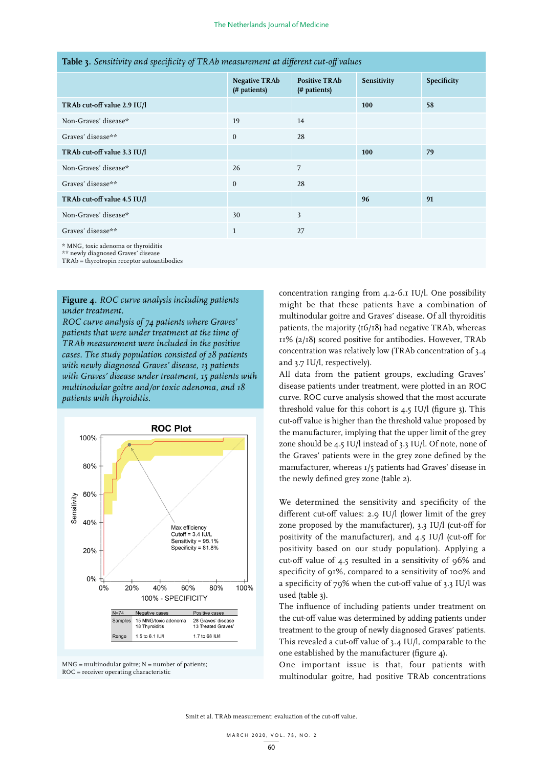| <b>Table 3.</b> Densitivity with specificity of IRAD measurement in inflerent cut-off runnes |                                      |                                      |             |             |
|----------------------------------------------------------------------------------------------|--------------------------------------|--------------------------------------|-------------|-------------|
|                                                                                              | <b>Negative TRAb</b><br>(# patients) | <b>Positive TRAb</b><br>(# patients) | Sensitivity | Specificity |
| TRAb cut-off value 2.9 IU/l                                                                  |                                      |                                      | 100         | 58          |
| Non-Graves' disease*                                                                         | 19                                   | 14                                   |             |             |
| Graves' disease**                                                                            | $\Omega$                             | 28                                   |             |             |
| TRAb cut-off value 3.3 IU/l                                                                  |                                      |                                      | 100         | 79          |
| Non-Graves' disease*                                                                         | 26                                   | 7                                    |             |             |
| Graves' disease**                                                                            | $\mathbf{0}$                         | 28                                   |             |             |
| TRAb cut-off value 4.5 IU/l                                                                  |                                      |                                      | 96          | 91          |
| Non-Graves' disease*                                                                         | 30                                   | $\overline{3}$                       |             |             |
| Graves' disease**                                                                            | $\mathbf{1}$                         | 27                                   |             |             |
|                                                                                              |                                      |                                      |             |             |

# **Table 3.** *Sensitivity and specificity of TRAb measurement at different cut-off values*

\* MNG, toxic adenoma or thyroiditis

\*\* newly diagnosed Graves' disease TRAb = thyrotropin receptor autoantibodies

**Figure 4.** *ROC curve analysis including patients* 

*under treatment. ROC curve analysis of 74 patients where Graves' patients that were under treatment at the time of TRAb measurement were included in the positive cases. The study population consisted of 28 patients with newly diagnosed Graves' disease, 13 patients with Graves' disease under treatment, 15 patients with multinodular goitre and/or toxic adenoma, and 18 patients with thyroiditis.*





concentration ranging from 4.2-6.1 IU/l. One possibility might be that these patients have a combination of multinodular goitre and Graves' disease. Of all thyroiditis patients, the majority (16/18) had negative TRAb, whereas 11% (2/18) scored positive for antibodies. However, TRAb concentration was relatively low (TRAb concentration of 3.4 and 3.7 IU/l, respectively).

All data from the patient groups, excluding Graves' disease patients under treatment, were plotted in an ROC curve. ROC curve analysis showed that the most accurate threshold value for this cohort is  $4.5$  IU/l (figure 3). This cut-off value is higher than the threshold value proposed by the manufacturer, implying that the upper limit of the grey zone should be 4.5 IU/l instead of 3.3 IU/l. Of note, none of the Graves' patients were in the grey zone defined by the manufacturer, whereas 1/5 patients had Graves' disease in the newly defined grey zone (table 2).

We determined the sensitivity and specificity of the different cut-off values: 2.9 IU/l (lower limit of the grey zone proposed by the manufacturer), 3.3 IU/l (cut-off for positivity of the manufacturer), and 4.5 IU/l (cut-off for positivity based on our study population). Applying a cut-off value of 4.5 resulted in a sensitivity of 96% and specificity of 91%, compared to a sensitivity of 100% and a specificity of 79% when the cut-off value of 3.3 IU/l was used (table 3).

The influence of including patients under treatment on the cut-off value was determined by adding patients under treatment to the group of newly diagnosed Graves' patients. This revealed a cut-off value of 3.4 IU/l, comparable to the one established by the manufacturer (figure 4).

One important issue is that, four patients with multinodular goitre, had positive TRAb concentrations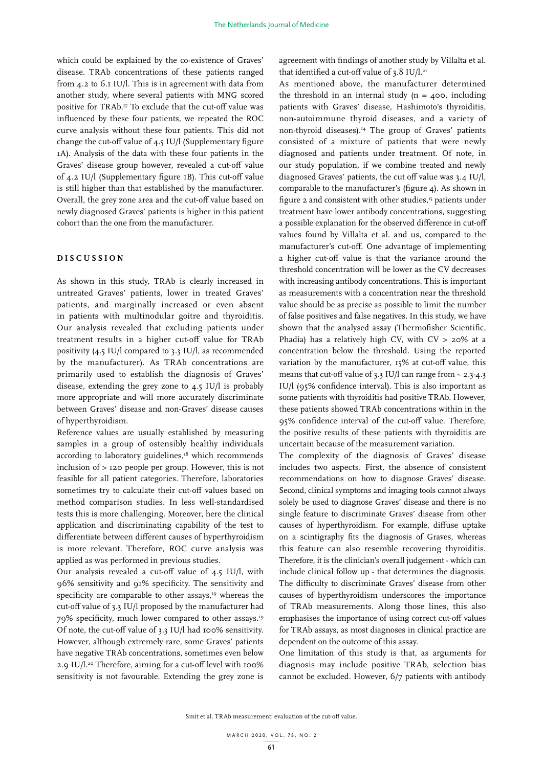which could be explained by the co-existence of Graves' disease. TRAb concentrations of these patients ranged from 4.2 to 6.1 IU/l. This is in agreement with data from another study, where several patients with MNG scored positive for TRAb.17 To exclude that the cut-off value was influenced by these four patients, we repeated the ROC curve analysis without these four patients. This did not change the cut-off value of 4.5 IU/l (Supplementary figure 1A). Analysis of the data with these four patients in the Graves' disease group however, revealed a cut-off value of 4.2 IU/l (Supplementary figure 1B). This cut-off value is still higher than that established by the manufacturer. Overall, the grey zone area and the cut-off value based on newly diagnosed Graves' patients is higher in this patient cohort than the one from the manufacturer.

#### **DISCUSSION**

As shown in this study, TRAb is clearly increased in untreated Graves' patients, lower in treated Graves' patients, and marginally increased or even absent in patients with multinodular goitre and thyroiditis. Our analysis revealed that excluding patients under treatment results in a higher cut-off value for TRAb positivity (4.5 IU/l compared to 3.3 IU/l, as recommended by the manufacturer). As TRAb concentrations are primarily used to establish the diagnosis of Graves' disease, extending the grey zone to 4.5 IU/l is probably more appropriate and will more accurately discriminate between Graves' disease and non-Graves' disease causes of hyperthyroidism.

Reference values are usually established by measuring samples in a group of ostensibly healthy individuals according to laboratory guidelines,<sup>18</sup> which recommends inclusion of > 120 people per group. However, this is not feasible for all patient categories. Therefore, laboratories sometimes try to calculate their cut-off values based on method comparison studies. In less well-standardised tests this is more challenging. Moreover, here the clinical application and discriminating capability of the test to differentiate between different causes of hyperthyroidism is more relevant. Therefore, ROC curve analysis was applied as was performed in previous studies.

Our analysis revealed a cut-off value of 4.5 IU/l, with 96% sensitivity and 91% specificity. The sensitivity and specificity are comparable to other assays,<sup>19</sup> whereas the cut-off value of 3.3 IU/l proposed by the manufacturer had 79% specificity, much lower compared to other assays.19 Of note, the cut-off value of 3.3 IU/l had 100% sensitivity. However, although extremely rare, some Graves' patients have negative TRAb concentrations, sometimes even below 2.9 IU/l.<sup>20</sup> Therefore, aiming for a cut-off level with 100% sensitivity is not favourable. Extending the grey zone is

agreement with findings of another study by Villalta et al. that identified a cut-off value of  $3.8$  IU/l.<sup>21</sup>

As mentioned above, the manufacturer determined the threshold in an internal study ( $n = 400$ , including patients with Graves' disease, Hashimoto's thyroiditis, non-autoimmune thyroid diseases, and a variety of non-thyroid diseases).<sup>14</sup> The group of Graves' patients consisted of a mixture of patients that were newly diagnosed and patients under treatment. Of note, in our study population, if we combine treated and newly diagnosed Graves' patients, the cut off value was 3.4 IU/l, comparable to the manufacturer's (figure 4). As shown in figure 2 and consistent with other studies,<sup>15</sup> patients under treatment have lower antibody concentrations, suggesting a possible explanation for the observed difference in cut-off values found by Villalta et al. and us, compared to the manufacturer's cut-off. One advantage of implementing a higher cut-off value is that the variance around the threshold concentration will be lower as the CV decreases with increasing antibody concentrations. This is important as measurements with a concentration near the threshold value should be as precise as possible to limit the number of false positives and false negatives. In this study, we have shown that the analysed assay (Thermofisher Scientific, Phadia) has a relatively high CV, with CV > 20% at a concentration below the threshold. Using the reported variation by the manufacturer, 15% at cut-off value, this means that cut-off value of 3.3 IU/l can range from  $\sim$  2.3-4.3 IU/l (95% confidence interval). This is also important as some patients with thyroiditis had positive TRAb. However, these patients showed TRAb concentrations within in the 95% confidence interval of the cut-off value. Therefore, the positive results of these patients with thyroiditis are uncertain because of the measurement variation.

The complexity of the diagnosis of Graves' disease includes two aspects. First, the absence of consistent recommendations on how to diagnose Graves' disease. Second, clinical symptoms and imaging tools cannot always solely be used to diagnose Graves' disease and there is no single feature to discriminate Graves' disease from other causes of hyperthyroidism. For example, diffuse uptake on a scintigraphy fits the diagnosis of Graves, whereas this feature can also resemble recovering thyroiditis. Therefore, it is the clinician's overall judgement - which can include clinical follow up - that determines the diagnosis. The difficulty to discriminate Graves' disease from other causes of hyperthyroidism underscores the importance of TRAb measurements. Along those lines, this also emphasises the importance of using correct cut-off values for TRAb assays, as most diagnoses in clinical practice are dependent on the outcome of this assay.

One limitation of this study is that, as arguments for diagnosis may include positive TRAb, selection bias cannot be excluded. However, 6/7 patients with antibody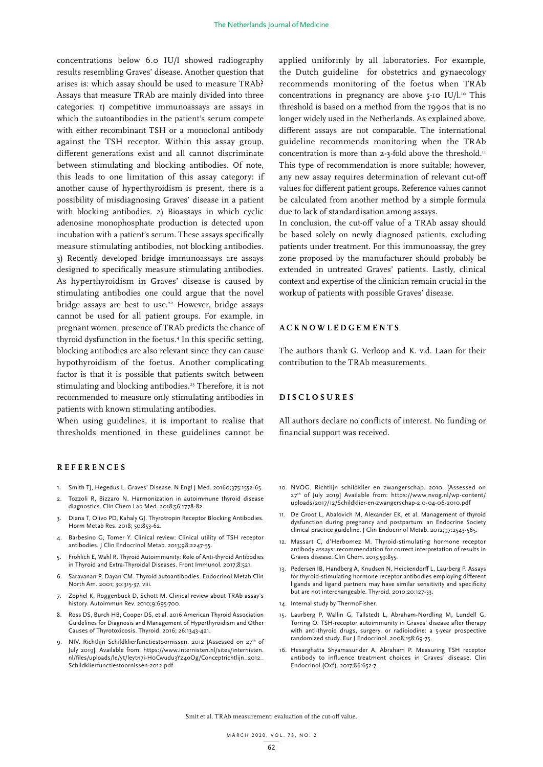concentrations below 6.0 IU/l showed radiography results resembling Graves' disease. Another question that arises is: which assay should be used to measure TRAb? Assays that measure TRAb are mainly divided into three categories: 1) competitive immunoassays are assays in which the autoantibodies in the patient's serum compete with either recombinant TSH or a monoclonal antibody against the TSH receptor. Within this assay group, different generations exist and all cannot discriminate between stimulating and blocking antibodies. Of note, this leads to one limitation of this assay category: if another cause of hyperthyroidism is present, there is a possibility of misdiagnosing Graves' disease in a patient with blocking antibodies. 2) Bioassays in which cyclic adenosine monophosphate production is detected upon incubation with a patient's serum. These assays specifically measure stimulating antibodies, not blocking antibodies. 3) Recently developed bridge immunoassays are assays designed to specifically measure stimulating antibodies. As hyperthyroidism in Graves' disease is caused by stimulating antibodies one could argue that the novel bridge assays are best to use.<sup>22</sup> However, bridge assays cannot be used for all patient groups. For example, in pregnant women, presence of TRAb predicts the chance of thyroid dysfunction in the foetus.4 In this specific setting, blocking antibodies are also relevant since they can cause hypothyroidism of the foetus. Another complicating factor is that it is possible that patients switch between stimulating and blocking antibodies.<sup>23</sup> Therefore, it is not recommended to measure only stimulating antibodies in patients with known stimulating antibodies.

When using guidelines, it is important to realise that thresholds mentioned in these guidelines cannot be

#### **REFERENCES**

- 1. Smith TJ, Hegedus L. Graves' Disease. N Engl J Med. 20160;375:1552-65.
- 2. Tozzoli R, Bizzaro N. Harmonization in autoimmune thyroid disease diagnostics. Clin Chem Lab Med. 2018;56:1778-82.
- 3. Diana T, Olivo PD, Kahaly GJ. Thyrotropin Receptor Blocking Antibodies. Horm Metab Res. 2018; 50:853-62.
- 4. Barbesino G, Tomer Y. Clinical review: Clinical utility of TSH receptor antibodies. J Clin Endocrinol Metab. 2013;98:2247-55.
- 5. Frohlich E, Wahl R. Thyroid Autoimmunity: Role of Anti-thyroid Antibodies in Thyroid and Extra-Thyroidal Diseases. Front Immunol. 2017;8:521.
- 6. Saravanan P, Dayan CM. Thyroid autoantibodies. Endocrinol Metab Clin North Am. 2001; 30:315-37, viii.
- 7. Zophel K, Roggenbuck D, Schott M. Clinical review about TRAb assay's history. Autoimmun Rev. 2010;9:695-700.
- 8. Ross DS, Burch HB, Cooper DS, et al. 2016 American Thyroid Association Guidelines for Diagnosis and Management of Hyperthyroidism and Other Causes of Thyrotoxicosis. Thyroid. 2016; 26:1343-421.
- NIV. Richtlijn Schildklierfunctiestoornissen. 2012 [Assessed on 27<sup>th</sup> of July 2019]. Available from: https://www.internisten.nl/sites/internisten. nl/files/uploads/le/yt/leytn7i-H0Cwudu3Yz4oOg/Conceptrichtlijn\_2012\_ Schildklierfunctiestoornissen-2012.pdf

applied uniformly by all laboratories. For example, the Dutch guideline for obstetrics and gynaecology recommends monitoring of the foetus when TRAb concentrations in pregnancy are above  $5$ -10 IU/l.<sup>10</sup> This threshold is based on a method from the 1990s that is no longer widely used in the Netherlands. As explained above, different assays are not comparable. The international guideline recommends monitoring when the TRAb concentration is more than 2-3-fold above the threshold.<sup>11</sup> This type of recommendation is more suitable; however, any new assay requires determination of relevant cut-off values for different patient groups. Reference values cannot be calculated from another method by a simple formula due to lack of standardisation among assays.

In conclusion, the cut-off value of a TRAb assay should be based solely on newly diagnosed patients, excluding patients under treatment. For this immunoassay, the grey zone proposed by the manufacturer should probably be extended in untreated Graves' patients. Lastly, clinical context and expertise of the clinician remain crucial in the workup of patients with possible Graves' disease.

## **ACKNOWLEDGEMENTS**

The authors thank G. Verloop and K. v.d. Laan for their contribution to the TRAb measurements.

## **DISCLOSURES**

All authors declare no conflicts of interest. No funding or financial support was received.

- 10. NVOG. Richtlijn schildklier en zwangerschap. 2010. [Assessed on 27<sup>th</sup> of July 2019] Available from: https://www.nvog.nl/wp-content/ uploads/2017/12/Schildklier-en-zwangerschap-2.0-04-06-2010.pdf
- 11. De Groot L, Abalovich M, Alexander EK, et al. Management of thyroid dysfunction during pregnancy and postpartum: an Endocrine Society clinical practice guideline. J Clin Endocrinol Metab. 2012;97:2543-565.
- 12. Massart C, d'Herbomez M. Thyroid-stimulating hormone receptor antibody assays: recommendation for correct interpretation of results in Graves disease. Clin Chem. 2013;59:855.
- 13. Pedersen IB, Handberg A, Knudsen N, Heickendorff L, Laurberg P. Assays for thyroid-stimulating hormone receptor antibodies employing different ligands and ligand partners may have similar sensitivity and specificity but are not interchangeable. Thyroid. 2010;20:127-33.
- 14. Internal study by ThermoFisher.
- 15. Laurberg P, Wallin G, Tallstedt L, Abraham-Nordling M, Lundell G, Torring O. TSH-receptor autoimmunity in Graves' disease after therapy with anti-thyroid drugs, surgery, or radioiodine: a 5-year prospective randomized study. Eur J Endocrinol. 2008;158:69-75.
- 16. Hesarghatta Shyamasunder A, Abraham P. Measuring TSH receptor antibody to influence treatment choices in Graves' disease. Clin Endocrinol (Oxf). 2017;86:652-7.

Smit et al. TRAb measurement: evaluation of the cut-off value.